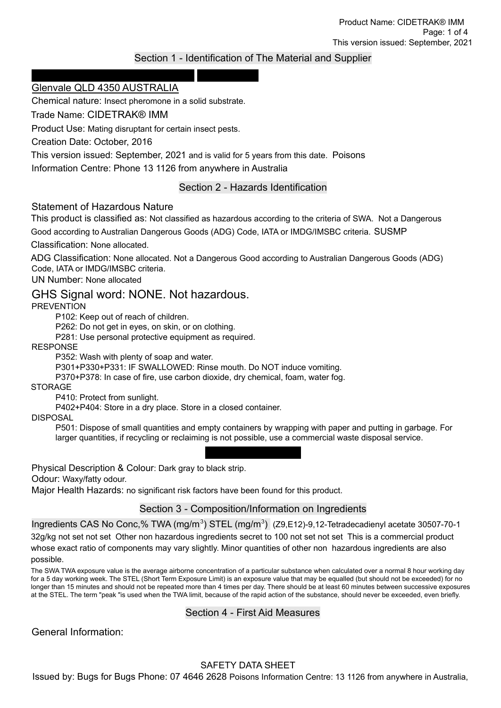## Section 1 - Identification of The Material and Supplier

#### Bugs for Bugs Phone: 07 4646 2628 3 Rocla Court Glenvale QLD 4350 AUSTRALIA

Chemical nature: Insect pheromone in a solid substrate.

Trade Name: CIDETRAK® IMM

Product Use: Mating disruptant for certain insect pests.

Creation Date: October, 2016

This version issued: September, 2021 and is valid for 5 years from this date. Poisons

Information Centre: Phone 13 1126 from anywhere in Australia

## Section 2 - Hazards Identification

#### Statement of Hazardous Nature

This product is classified as: Not classified as hazardous according to the criteria of SWA. Not a Dangerous Good according to Australian Dangerous Goods (ADG) Code, IATA or IMDG/IMSBC criteria. SUSMP

Classification: None allocated.

ADG Classification: None allocated. Not a Dangerous Good according to Australian Dangerous Goods (ADG) Code, IATA or IMDG/IMSBC criteria.

UN Number: None allocated

# GHS Signal word: NONE. Not hazardous.

PREVENTION

P102: Keep out of reach of children.

P262: Do not get in eyes, on skin, or on clothing.

P281: Use personal protective equipment as required.

RESPONSE

P352: Wash with plenty of soap and water.

P301+P330+P331: IF SWALLOWED: Rinse mouth. Do NOT induce vomiting.

P370+P378: In case of fire, use carbon dioxide, dry chemical, foam, water fog.

**STORAGE** 

P410: Protect from sunlight.

P402+P404: Store in a dry place. Store in a closed container.

DISPOSAL

P501: Dispose of small quantities and empty containers by wrapping with paper and putting in garbage. For larger quantities, if recycling or reclaiming is not possible, use a commercial waste disposal service.

Emergency Overview

Physical Description & Colour: Dark gray to black strip.

Odour: Waxy/fatty odour.

Major Health Hazards: no significant risk factors have been found for this product.

#### Section 3 - Composition/Information on Ingredients

Ingredients CAS No Conc,% TWA (mg/m<sup>3</sup>) STEL (mg/m<sup>3</sup>) (Z9,E12)-9,12-Tetradecadienyl acetate 30507-70-1 32g/kg not set not set Other non hazardous ingredients secret to 100 not set not set This is a commercial product whose exact ratio of components may vary slightly. Minor quantities of other non hazardous ingredients are also possible.

The SWA TWA exposure value is the average airborne concentration of a particular substance when calculated over a normal 8 hour working day for a 5 day working week. The STEL (Short Term Exposure Limit) is an exposure value that may be equalled (but should not be exceeded) for no longer than 15 minutes and should not be repeated more than 4 times per day. There should be at least 60 minutes between successive exposures at the STEL. The term "peak "is used when the TWA limit, because of the rapid action of the substance, should never be exceeded, even briefly.

#### Section 4 - First Aid Measures

General Information: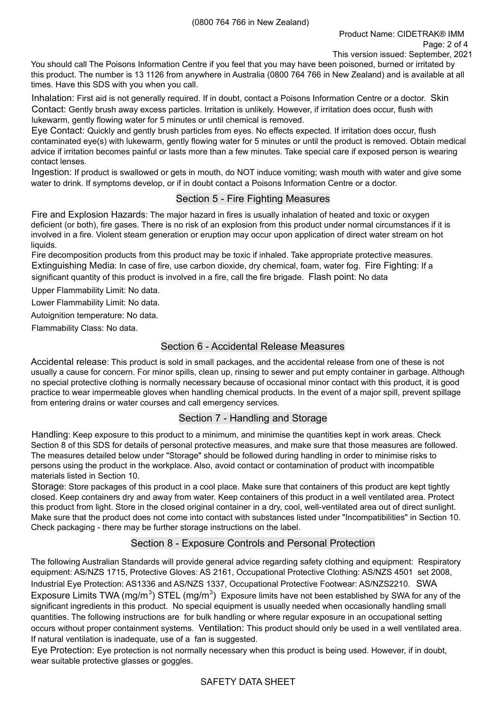You should call The Poisons Information Centre if you feel that you may have been poisoned, burned or irritated by this product. The number is 13 1126 from anywhere in Australia (0800 764 766 in New Zealand) and is available at all times. Have this SDS with you when you call.

Inhalation: First aid is not generally required. If in doubt, contact a Poisons Information Centre or a doctor. Skin Contact: Gently brush away excess particles. Irritation is unlikely. However, if irritation does occur, flush with lukewarm, gently flowing water for 5 minutes or until chemical is removed.

Eye Contact: Quickly and gently brush particles from eyes. No effects expected. If irritation does occur, flush contaminated eye(s) with lukewarm, gently flowing water for 5 minutes or until the product is removed. Obtain medical advice if irritation becomes painful or lasts more than a few minutes. Take special care if exposed person is wearing contact lenses.

Ingestion: If product is swallowed or gets in mouth, do NOT induce vomiting; wash mouth with water and give some water to drink. If symptoms develop, or if in doubt contact a Poisons Information Centre or a doctor.

#### Section 5 - Fire Fighting Measures

Fire and Explosion Hazards: The major hazard in fires is usually inhalation of heated and toxic or oxygen deficient (or both), fire gases. There is no risk of an explosion from this product under normal circumstances if it is involved in a fire. Violent steam generation or eruption may occur upon application of direct water stream on hot liquids.

Fire decomposition products from this product may be toxic if inhaled. Take appropriate protective measures. Extinguishing Media: In case of fire, use carbon dioxide, dry chemical, foam, water fog. Fire Fighting: If a significant quantity of this product is involved in a fire, call the fire brigade. Flash point: No data

Upper Flammability Limit: No data.

Lower Flammability Limit: No data.

Autoignition temperature: No data.

Flammability Class: No data.

## Section 6 - Accidental Release Measures

Accidental release: This product is sold in small packages, and the accidental release from one of these is not usually a cause for concern. For minor spills, clean up, rinsing to sewer and put empty container in garbage. Although no special protective clothing is normally necessary because of occasional minor contact with this product, it is good practice to wear impermeable gloves when handling chemical products. In the event of a major spill, prevent spillage from entering drains or water courses and call emergency services.

## Section 7 - Handling and Storage

Handling: Keep exposure to this product to a minimum, and minimise the quantities kept in work areas. Check Section 8 of this SDS for details of personal protective measures, and make sure that those measures are followed. The measures detailed below under "Storage" should be followed during handling in order to minimise risks to persons using the product in the workplace. Also, avoid contact or contamination of product with incompatible materials listed in Section 10.

Storage: Store packages of this product in a cool place. Make sure that containers of this product are kept tightly closed. Keep containers dry and away from water. Keep containers of this product in a well ventilated area. Protect this product from light. Store in the closed original container in a dry, cool, well-ventilated area out of direct sunlight. Make sure that the product does not come into contact with substances listed under "Incompatibilities" in Section 10. Check packaging - there may be further storage instructions on the label.

## Section 8 - Exposure Controls and Personal Protection

The following Australian Standards will provide general advice regarding safety clothing and equipment: Respiratory equipment: AS/NZS 1715, Protective Gloves: AS 2161, Occupational Protective Clothing: AS/NZS 4501 set 2008, Industrial Eye Protection: AS1336 and AS/NZS 1337, Occupational Protective Footwear: AS/NZS2210. SWA Exposure Limits TWA (mg/m<sup>3</sup>) STEL (mg/m<sup>3</sup>) Exposure limits have not been established by SWA for any of the significant ingredients in this product. No special equipment is usually needed when occasionally handling small quantities. The following instructions are for bulk handling or where regular exposure in an occupational setting occurs without proper containment systems. Ventilation: This product should only be used in a well ventilated area. If natural ventilation is inadequate, use of a fan is suggested.

Eye Protection: Eye protection is not normally necessary when this product is being used. However, if in doubt, wear suitable protective glasses or goggles.

#### SAFETY DATA SHEET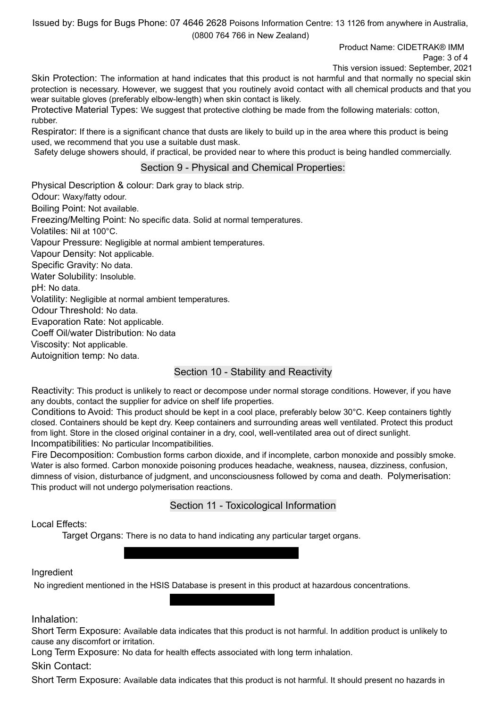Issued by: Bugs for Bugs Phone: 07 4646 2628 Poisons Information Centre: 13 1126 from anywhere in Australia, (0800 764 766 in New Zealand)

> Product Name: CIDETRAK® IMM Page: 3 of 4

This version issued: September, 2021

Skin Protection: The information at hand indicates that this product is not harmful and that normally no special skin protection is necessary. However, we suggest that you routinely avoid contact with all chemical products and that you wear suitable gloves (preferably elbow-length) when skin contact is likely.

Protective Material Types: We suggest that protective clothing be made from the following materials: cotton, rubber.

Respirator: If there is a significant chance that dusts are likely to build up in the area where this product is being used, we recommend that you use a suitable dust mask.

Safety deluge showers should, if practical, be provided near to where this product is being handled commercially.

#### Section 9 - Physical and Chemical Properties:

Physical Description & colour: Dark gray to black strip. Odour: Waxy/fatty odour. Boiling Point: Not available. Freezing/Melting Point: No specific data. Solid at normal temperatures. Volatiles: Nil at 100°C. Vapour Pressure: Negligible at normal ambient temperatures. Vapour Density: Not applicable. Specific Gravity: No data. Water Solubility: Insoluble. pH: No data. Volatility: Negligible at normal ambient temperatures. Odour Threshold: No data. Evaporation Rate: Not applicable. Coeff Oil/water Distribution: No data Viscosity: Not applicable. Autoignition temp: No data.

## Section 10 - Stability and Reactivity

Reactivity: This product is unlikely to react or decompose under normal storage conditions. However, if you have any doubts, contact the supplier for advice on shelf life properties.

Conditions to Avoid: This product should be kept in a cool place, preferably below 30°C. Keep containers tightly closed. Containers should be kept dry. Keep containers and surrounding areas well ventilated. Protect this product from light. Store in the closed original container in a dry, cool, well-ventilated area out of direct sunlight. Incompatibilities: No particular Incompatibilities.

Fire Decomposition: Combustion forms carbon dioxide, and if incomplete, carbon monoxide and possibly smoke. Water is also formed. Carbon monoxide poisoning produces headache, weakness, nausea, dizziness, confusion, dimness of vision, disturbance of judgment, and unconsciousness followed by coma and death. Polymerisation: This product will not undergo polymerisation reactions.

## Section 11 - Toxicological Information

Local Effects:

Target Organs: There is no data to hand indicating any particular target organs.

Classification of Hazardous Ingredients

#### Ingredient

No ingredient mentioned in the HSIS Database is present in this product at hazardous concentrations. Potential Health Effects

Inhalation:

Short Term Exposure: Available data indicates that this product is not harmful. In addition product is unlikely to cause any discomfort or irritation.

Long Term Exposure: No data for health effects associated with long term inhalation.

Skin Contact:

Short Term Exposure: Available data indicates that this product is not harmful. It should present no hazards in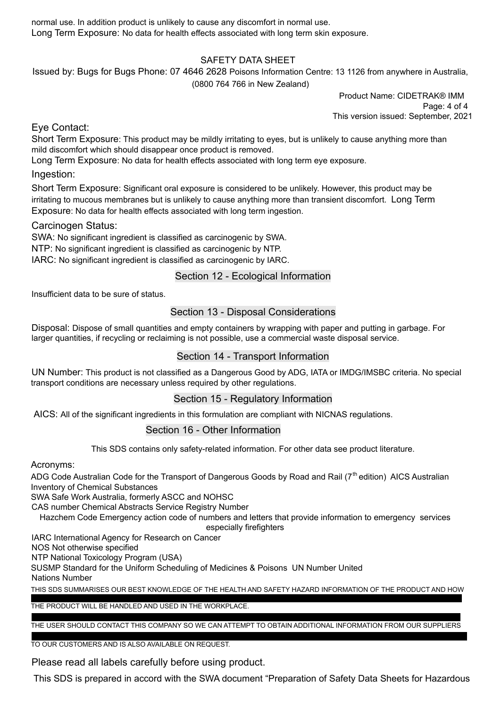normal use. In addition product is unlikely to cause any discomfort in normal use. Long Term Exposure: No data for health effects associated with long term skin exposure.

## SAFETY DATA SHEET

Issued by: Bugs for Bugs Phone: 07 4646 2628 Poisons Information Centre: 13 1126 from anywhere in Australia, (0800 764 766 in New Zealand)

> Product Name: CIDETRAK® IMM Page: 4 of 4 This version issued: September, 2021

Eye Contact:

Short Term Exposure: This product may be mildly irritating to eyes, but is unlikely to cause anything more than mild discomfort which should disappear once product is removed.

Long Term Exposure: No data for health effects associated with long term eye exposure.

#### Ingestion:

Short Term Exposure: Significant oral exposure is considered to be unlikely. However, this product may be irritating to mucous membranes but is unlikely to cause anything more than transient discomfort. Long Term Exposure: No data for health effects associated with long term ingestion.

#### Carcinogen Status:

SWA: No significant ingredient is classified as carcinogenic by SWA.

NTP: No significant ingredient is classified as carcinogenic by NTP.

IARC: No significant ingredient is classified as carcinogenic by IARC.

## Section 12 - Ecological Information

Insufficient data to be sure of status.

# Section 13 - Disposal Considerations

Disposal: Dispose of small quantities and empty containers by wrapping with paper and putting in garbage. For larger quantities, if recycling or reclaiming is not possible, use a commercial waste disposal service.

## Section 14 - Transport Information

UN Number: This product is not classified as a Dangerous Good by ADG, IATA or IMDG/IMSBC criteria. No special transport conditions are necessary unless required by other regulations.

## Section 15 - Regulatory Information

AICS: All of the significant ingredients in this formulation are compliant with NICNAS regulations.

## Section 16 - Other Information

This SDS contains only safety-related information. For other data see product literature.

Acronyms:

ADG Code Australian Code for the Transport of Dangerous Goods by Road and Rail (7<sup>th</sup> edition) AICS Australian Inventory of Chemical Substances

SWA Safe Work Australia, formerly ASCC and NOHSC

CAS number Chemical Abstracts Service Registry Number

Hazchem Code Emergency action code of numbers and letters that provide information to emergency services especially firefighters

IARC International Agency for Research on Cancer

NOS Not otherwise specified

NTP National Toxicology Program (USA)

SUSMP Standard for the Uniform Scheduling of Medicines & Poisons UN Number United

Nations Number

THIS SDS SUMMARISES OUR BEST KNOWLEDGE OF THE HEALTH AND SAFETY HAZARD INFORMATION OF THE PRODUCT AND HOW

#### TO SAFELY HANDLE AND USE THE PRODUCT IN THE WORKPLACE. EACH USER MUST REVIEW THIS SDS IN THE CONTEXT OF HOW THE PRODUCT WILL BE HANDLED AND USED IN THE WORKPLACE.

THE USER SHOULD CONTACT THIS COMPANY SO WE CAN ATTEMPT TO OBTAIN ADDITIONAL INFORMATION FROM OUR SUPPLIERS

#### TO OUR CUSTOMERS AND IS ALSO AVAILABLE ON REQUEST.

Please read all labels carefully before using product.

This SDS is prepared in accord with the SWA document "Preparation of Safety Data Sheets for Hazardous